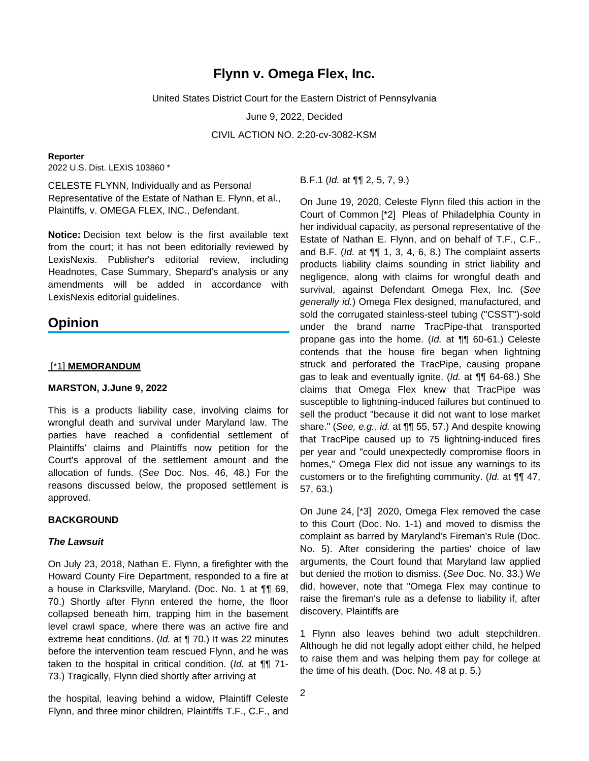# **Flynn v. Omega Flex, Inc.**

United States District Court for the Eastern District of Pennsylvania

June 9, 2022, Decided

CIVIL ACTION NO. 2:20-cv-3082-KSM

#### **Reporter**

2022 U.S. Dist. LEXIS 103860 \*

CELESTE FLYNN, Individually and as Personal Representative of the Estate of Nathan E. Flynn, et al., Plaintiffs, v. OMEGA FLEX, INC., Defendant.

**Notice:** Decision text below is the first available text from the court; it has not been editorially reviewed by LexisNexis. Publisher's editorial review, including Headnotes, Case Summary, Shepard's analysis or any amendments will be added in accordance with LexisNexis editorial guidelines.

# **Opinion**

#### [\*1] **MEMORANDUM**

## **MARSTON, J.June 9, 2022**

This is a products liability case, involving claims for wrongful death and survival under Maryland law. The parties have reached a confidential settlement of Plaintiffs' claims and Plaintiffs now petition for the Court's approval of the settlement amount and the allocation of funds. (See Doc. Nos. 46, 48.) For the reasons discussed below, the proposed settlement is approved.

#### **BACKGROUND**

#### **The Lawsuit**

On July 23, 2018, Nathan E. Flynn, a firefighter with the Howard County Fire Department, responded to a fire at a house in Clarksville, Maryland. (Doc. No. 1 at ¶¶ 69, 70.) Shortly after Flynn entered the home, the floor collapsed beneath him, trapping him in the basement level crawl space, where there was an active fire and extreme heat conditions. (Id. at ¶ 70.) It was 22 minutes before the intervention team rescued Flynn, and he was taken to the hospital in critical condition. (Id. at ¶¶ 71- 73.) Tragically, Flynn died shortly after arriving at

the hospital, leaving behind a widow, Plaintiff Celeste Flynn, and three minor children, Plaintiffs T.F., C.F., and B.F.1 (Id. at ¶¶ 2, 5, 7, 9.)

On June 19, 2020, Celeste Flynn filed this action in the Court of Common [\*2] Pleas of Philadelphia County in her individual capacity, as personal representative of the Estate of Nathan E. Flynn, and on behalf of T.F., C.F., and B.F. (Id. at  $\P\P$  1, 3, 4, 6, 8.) The complaint asserts products liability claims sounding in strict liability and negligence, along with claims for wrongful death and survival, against Defendant Omega Flex, Inc. (See generally id.) Omega Flex designed, manufactured, and sold the corrugated stainless-steel tubing ("CSST")-sold under the brand name TracPipe-that transported propane gas into the home. (Id. at ¶¶ 60-61.) Celeste contends that the house fire began when lightning struck and perforated the TracPipe, causing propane gas to leak and eventually ignite. (Id. at **¶** 64-68.) She claims that Omega Flex knew that TracPipe was susceptible to lightning-induced failures but continued to sell the product "because it did not want to lose market share." (See, e.g., id. at  $\P$  55, 57.) And despite knowing that TracPipe caused up to 75 lightning-induced fires per year and "could unexpectedly compromise floors in homes," Omega Flex did not issue any warnings to its customers or to the firefighting community. (Id. at ¶¶ 47, 57, 63.)

On June 24, [\*3] 2020, Omega Flex removed the case to this Court (Doc. No. 1-1) and moved to dismiss the complaint as barred by Maryland's Fireman's Rule (Doc. No. 5). After considering the parties' choice of law arguments, the Court found that Maryland law applied but denied the motion to dismiss. (See Doc. No. 33.) We did, however, note that "Omega Flex may continue to raise the fireman's rule as a defense to liability if, after discovery, Plaintiffs are

1 Flynn also leaves behind two adult stepchildren. Although he did not legally adopt either child, he helped to raise them and was helping them pay for college at the time of his death. (Doc. No. 48 at p. 5.)

2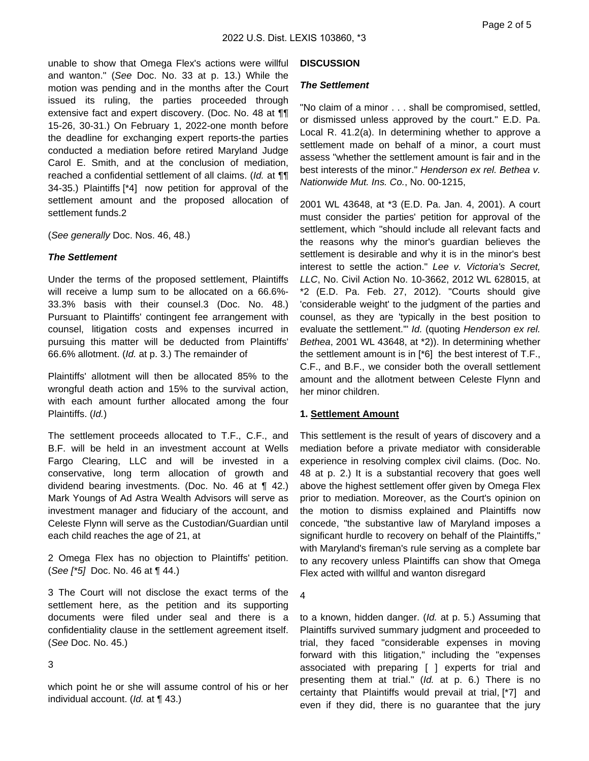unable to show that Omega Flex's actions were willful and wanton." (See Doc. No. 33 at p. 13.) While the motion was pending and in the months after the Court issued its ruling, the parties proceeded through extensive fact and expert discovery. (Doc. No. 48 at ¶¶ 15-26, 30-31.) On February 1, 2022-one month before the deadline for exchanging expert reports-the parties conducted a mediation before retired Maryland Judge Carol E. Smith, and at the conclusion of mediation, reached a confidential settlement of all claims. (Id. at  $\P\P$ 34-35.) Plaintiffs [\*4] now petition for approval of the settlement amount and the proposed allocation of settlement funds.2

(See generally Doc. Nos. 46, 48.)

#### **The Settlement**

Under the terms of the proposed settlement, Plaintiffs will receive a lump sum to be allocated on a 66.6%- 33.3% basis with their counsel.3 (Doc. No. 48.) Pursuant to Plaintiffs' contingent fee arrangement with counsel, litigation costs and expenses incurred in pursuing this matter will be deducted from Plaintiffs' 66.6% allotment. (Id. at p. 3.) The remainder of

Plaintiffs' allotment will then be allocated 85% to the wrongful death action and 15% to the survival action, with each amount further allocated among the four Plaintiffs. (Id.)

The settlement proceeds allocated to T.F., C.F., and B.F. will be held in an investment account at Wells Fargo Clearing, LLC and will be invested in a conservative, long term allocation of growth and dividend bearing investments. (Doc. No. 46 at ¶ 42.) Mark Youngs of Ad Astra Wealth Advisors will serve as investment manager and fiduciary of the account, and Celeste Flynn will serve as the Custodian/Guardian until each child reaches the age of 21, at

2 Omega Flex has no objection to Plaintiffs' petition. (See [\*5] Doc. No. 46 at ¶ 44.)

3 The Court will not disclose the exact terms of the settlement here, as the petition and its supporting documents were filed under seal and there is a confidentiality clause in the settlement agreement itself. (See Doc. No. 45.)

#### 3

which point he or she will assume control of his or her individual account. (Id. at ¶ 43.)

#### **DISCUSSION**

#### **The Settlement**

"No claim of a minor . . . shall be compromised, settled, or dismissed unless approved by the court." E.D. Pa. Local R. 41.2(a). In determining whether to approve a settlement made on behalf of a minor, a court must assess "whether the settlement amount is fair and in the best interests of the minor." Henderson ex rel. Bethea v. Nationwide Mut. Ins. Co., No. 00-1215,

2001 WL 43648, at \*3 (E.D. Pa. Jan. 4, 2001). A court must consider the parties' petition for approval of the settlement, which "should include all relevant facts and the reasons why the minor's guardian believes the settlement is desirable and why it is in the minor's best interest to settle the action." Lee v. Victoria's Secret, LLC, No. Civil Action No. 10-3662, 2012 WL 628015, at \*2 (E.D. Pa. Feb. 27, 2012). "Courts should give 'considerable weight' to the judgment of the parties and counsel, as they are 'typically in the best position to evaluate the settlement." Id. (quoting Henderson ex rel. Bethea, 2001 WL 43648, at \*2)). In determining whether the settlement amount is in [\*6] the best interest of T.F., C.F., and B.F., we consider both the overall settlement amount and the allotment between Celeste Flynn and her minor children.

## **1. Settlement Amount**

This settlement is the result of years of discovery and a mediation before a private mediator with considerable experience in resolving complex civil claims. (Doc. No. 48 at p. 2.) It is a substantial recovery that goes well above the highest settlement offer given by Omega Flex prior to mediation. Moreover, as the Court's opinion on the motion to dismiss explained and Plaintiffs now concede, "the substantive law of Maryland imposes a significant hurdle to recovery on behalf of the Plaintiffs," with Maryland's fireman's rule serving as a complete bar to any recovery unless Plaintiffs can show that Omega Flex acted with willful and wanton disregard

4

to a known, hidden danger. (Id. at p. 5.) Assuming that Plaintiffs survived summary judgment and proceeded to trial, they faced "considerable expenses in moving forward with this litigation," including the "expenses associated with preparing [ ] experts for trial and presenting them at trial." (Id. at p. 6.) There is no certainty that Plaintiffs would prevail at trial, [\*7] and even if they did, there is no guarantee that the jury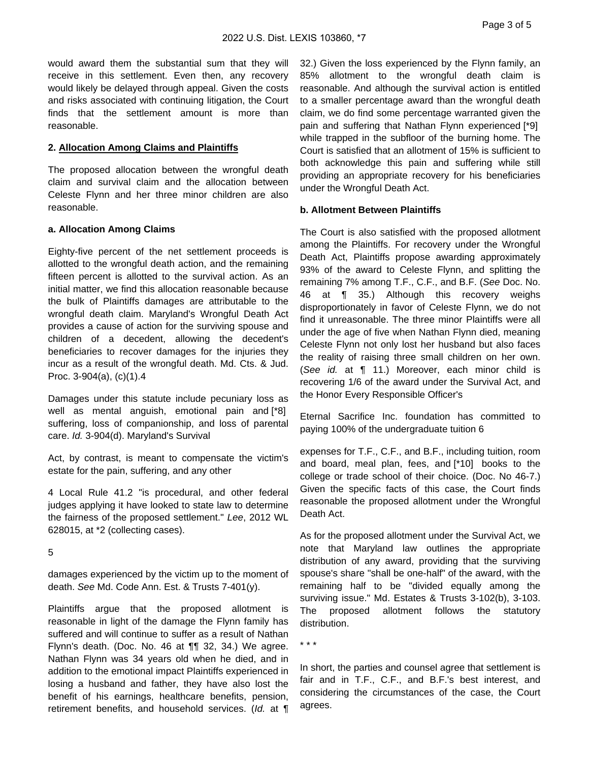would award them the substantial sum that they will receive in this settlement. Even then, any recovery would likely be delayed through appeal. Given the costs and risks associated with continuing litigation, the Court finds that the settlement amount is more than reasonable.

# **2. Allocation Among Claims and Plaintiffs**

The proposed allocation between the wrongful death claim and survival claim and the allocation between Celeste Flynn and her three minor children are also reasonable.

# **a. Allocation Among Claims**

Eighty-five percent of the net settlement proceeds is allotted to the wrongful death action, and the remaining fifteen percent is allotted to the survival action. As an initial matter, we find this allocation reasonable because the bulk of Plaintiffs damages are attributable to the wrongful death claim. Maryland's Wrongful Death Act provides a cause of action for the surviving spouse and children of a decedent, allowing the decedent's beneficiaries to recover damages for the injuries they incur as a result of the wrongful death. Md. Cts. & Jud. Proc. 3-904(a), (c)(1).4

Damages under this statute include pecuniary loss as well as mental anguish, emotional pain and [\*8] suffering, loss of companionship, and loss of parental care. Id. 3-904(d). Maryland's Survival

Act, by contrast, is meant to compensate the victim's estate for the pain, suffering, and any other

4 Local Rule 41.2 "is procedural, and other federal judges applying it have looked to state law to determine the fairness of the proposed settlement." Lee, 2012 WL 628015, at \*2 (collecting cases).

5

damages experienced by the victim up to the moment of death. See Md. Code Ann. Est. & Trusts 7-401(y).

Plaintiffs argue that the proposed allotment is reasonable in light of the damage the Flynn family has suffered and will continue to suffer as a result of Nathan Flynn's death. (Doc. No. 46 at ¶¶ 32, 34.) We agree. Nathan Flynn was 34 years old when he died, and in addition to the emotional impact Plaintiffs experienced in losing a husband and father, they have also lost the benefit of his earnings, healthcare benefits, pension, retirement benefits, and household services. (Id. at ¶

32.) Given the loss experienced by the Flynn family, an 85% allotment to the wrongful death claim is reasonable. And although the survival action is entitled to a smaller percentage award than the wrongful death claim, we do find some percentage warranted given the pain and suffering that Nathan Flynn experienced [\*9] while trapped in the subfloor of the burning home. The Court is satisfied that an allotment of 15% is sufficient to both acknowledge this pain and suffering while still providing an appropriate recovery for his beneficiaries under the Wrongful Death Act.

# **b. Allotment Between Plaintiffs**

The Court is also satisfied with the proposed allotment among the Plaintiffs. For recovery under the Wrongful Death Act, Plaintiffs propose awarding approximately 93% of the award to Celeste Flynn, and splitting the remaining 7% among T.F., C.F., and B.F. (See Doc. No. 46 at ¶ 35.) Although this recovery weighs disproportionately in favor of Celeste Flynn, we do not find it unreasonable. The three minor Plaintiffs were all under the age of five when Nathan Flynn died, meaning Celeste Flynn not only lost her husband but also faces the reality of raising three small children on her own. (See id. at ¶ 11.) Moreover, each minor child is recovering 1/6 of the award under the Survival Act, and the Honor Every Responsible Officer's

Eternal Sacrifice Inc. foundation has committed to paying 100% of the undergraduate tuition 6

expenses for T.F., C.F., and B.F., including tuition, room and board, meal plan, fees, and [\*10] books to the college or trade school of their choice. (Doc. No 46-7.) Given the specific facts of this case, the Court finds reasonable the proposed allotment under the Wrongful Death Act.

As for the proposed allotment under the Survival Act, we note that Maryland law outlines the appropriate distribution of any award, providing that the surviving spouse's share "shall be one-half" of the award, with the remaining half to be "divided equally among the surviving issue." Md. Estates & Trusts 3-102(b), 3-103. The proposed allotment follows the statutory distribution.

\* \* \*

In short, the parties and counsel agree that settlement is fair and in T.F., C.F., and B.F.'s best interest, and considering the circumstances of the case, the Court agrees.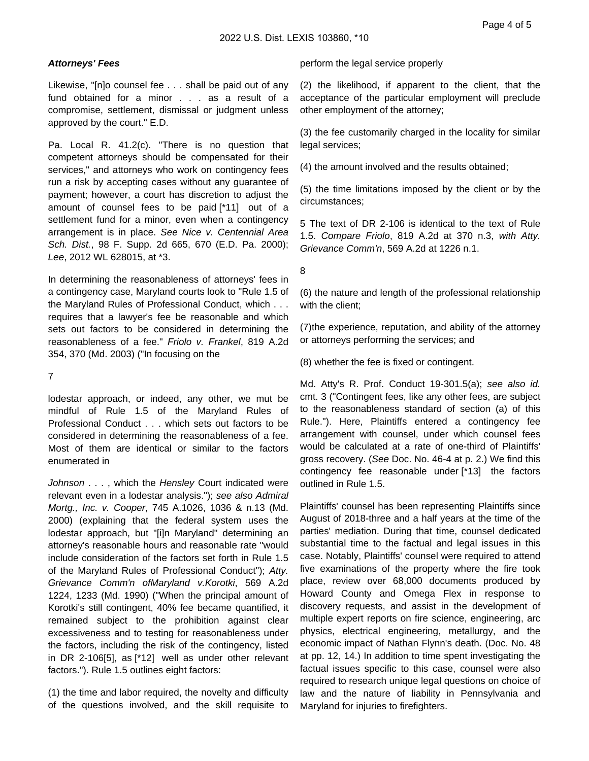## **Attorneys' Fees**

Likewise, "[n]o counsel fee . . . shall be paid out of any fund obtained for a minor . . . as a result of a compromise, settlement, dismissal or judgment unless approved by the court." E.D.

Pa. Local R. 41.2(c). "There is no question that competent attorneys should be compensated for their services," and attorneys who work on contingency fees run a risk by accepting cases without any guarantee of payment; however, a court has discretion to adjust the amount of counsel fees to be paid [\*11] out of a settlement fund for a minor, even when a contingency arrangement is in place. See Nice v. Centennial Area Sch. Dist., 98 F. Supp. 2d 665, 670 (E.D. Pa. 2000); Lee, 2012 WL 628015, at \*3.

In determining the reasonableness of attorneys' fees in a contingency case, Maryland courts look to "Rule 1.5 of the Maryland Rules of Professional Conduct, which . . . requires that a lawyer's fee be reasonable and which sets out factors to be considered in determining the reasonableness of a fee." Friolo v. Frankel, 819 A.2d 354, 370 (Md. 2003) ("In focusing on the

7

lodestar approach, or indeed, any other, we mut be mindful of Rule 1.5 of the Maryland Rules of Professional Conduct . . . which sets out factors to be considered in determining the reasonableness of a fee. Most of them are identical or similar to the factors enumerated in

Johnson . . . , which the Hensley Court indicated were relevant even in a lodestar analysis."); see also Admiral Mortg., Inc. v. Cooper, 745 A.1026, 1036 & n.13 (Md. 2000) (explaining that the federal system uses the lodestar approach, but "[i]n Maryland" determining an attorney's reasonable hours and reasonable rate "would include consideration of the factors set forth in Rule 1.5 of the Maryland Rules of Professional Conduct"); Atty. Grievance Comm'n ofMaryland v.Korotki, 569 A.2d 1224, 1233 (Md. 1990) ("When the principal amount of Korotki's still contingent, 40% fee became quantified, it remained subject to the prohibition against clear excessiveness and to testing for reasonableness under the factors, including the risk of the contingency, listed in DR 2-106[5], as [\*12] well as under other relevant factors."). Rule 1.5 outlines eight factors:

(1) the time and labor required, the novelty and difficulty of the questions involved, and the skill requisite to

perform the legal service properly

(2) the likelihood, if apparent to the client, that the acceptance of the particular employment will preclude other employment of the attorney;

(3) the fee customarily charged in the locality for similar legal services;

(4) the amount involved and the results obtained;

(5) the time limitations imposed by the client or by the circumstances;

5 The text of DR 2-106 is identical to the text of Rule 1.5. Compare Friolo, 819 A.2d at 370 n.3, with Atty. Grievance Comm'n, 569 A.2d at 1226 n.1.

8

(6) the nature and length of the professional relationship with the client;

(7)the experience, reputation, and ability of the attorney or attorneys performing the services; and

(8) whether the fee is fixed or contingent.

Md. Atty's R. Prof. Conduct 19-301.5(a); see also id. cmt. 3 ("Contingent fees, like any other fees, are subject to the reasonableness standard of section (a) of this Rule."). Here, Plaintiffs entered a contingency fee arrangement with counsel, under which counsel fees would be calculated at a rate of one-third of Plaintiffs' gross recovery. (See Doc. No. 46-4 at p. 2.) We find this contingency fee reasonable under [\*13] the factors outlined in Rule 1.5.

Plaintiffs' counsel has been representing Plaintiffs since August of 2018-three and a half years at the time of the parties' mediation. During that time, counsel dedicated substantial time to the factual and legal issues in this case. Notably, Plaintiffs' counsel were required to attend five examinations of the property where the fire took place, review over 68,000 documents produced by Howard County and Omega Flex in response to discovery requests, and assist in the development of multiple expert reports on fire science, engineering, arc physics, electrical engineering, metallurgy, and the economic impact of Nathan Flynn's death. (Doc. No. 48 at pp. 12, 14.) In addition to time spent investigating the factual issues specific to this case, counsel were also required to research unique legal questions on choice of law and the nature of liability in Pennsylvania and Maryland for injuries to firefighters.